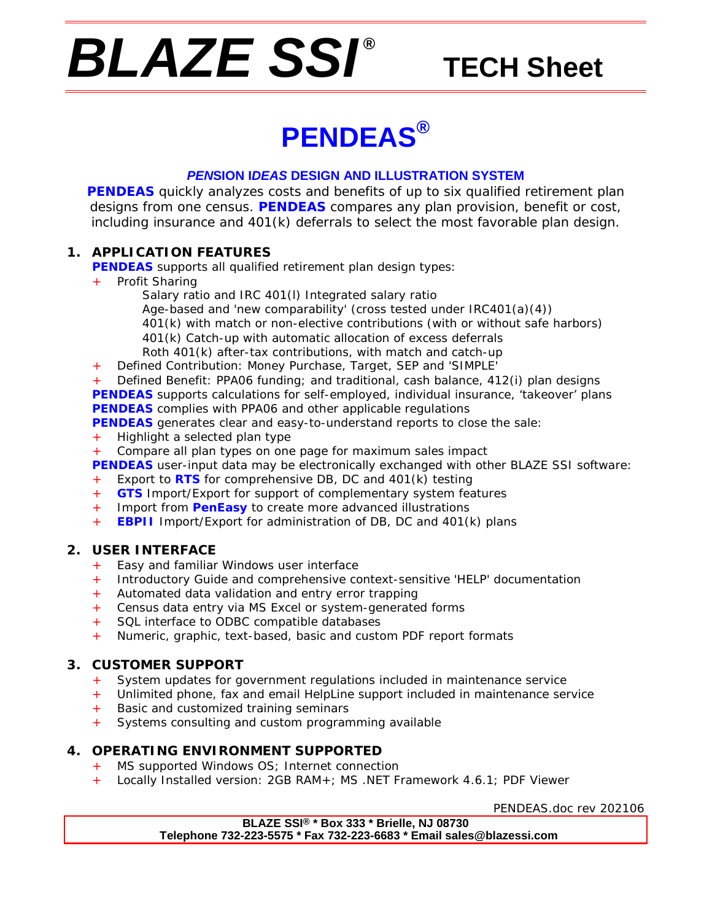# *BLAZE SSI ®*

# **TECH Sheet**

# **PENDEAS®**

### *PEN***SION I***DEAS* **DESIGN AND ILLUSTRATION SYSTEM**

**PENDEAS** quickly analyzes costs and benefits of up to six qualified retirement plan designs from one census. **PENDEAS** compares any plan provision, benefit or cost, including insurance and 401(k) deferrals to select the most favorable plan design.

## **1. APPLICATION FEATURES**

**PENDEAS** supports all qualified retirement plan design types:

- Profit Sharing
	- Salary ratio and IRC 401(l) Integrated salary ratio Age-based and 'new comparability' (cross tested under IRC401(a)(4)) 401(k) with match or non-elective contributions (with or without safe harbors) 401(k) Catch-up with automatic allocation of excess deferrals Roth 401(k) after-tax contributions, with match and catch-up
- + Defined Contribution: Money Purchase, Target, SEP and 'SIMPLE'

Defined Benefit: PPA06 funding; and traditional, cash balance, 412(i) plan designs **PENDEAS** supports calculations for self-employed, individual insurance, 'takeover' plans **PENDEAS** complies with PPA06 and other applicable regulations

- **PENDEAS** generates clear and easy-to-understand reports to close the sale:
- + Highlight a selected plan type
- + Compare all plan types on one page for maximum sales impact

**PENDEAS** user-input data may be electronically exchanged with other BLAZE SSI software:

- Export to **RTS** for comprehensive DB, DC and 401(k) testing
- + **GTS** Import/Export for support of complementary system features
- + Import from **PenEasy** to create more advanced illustrations
- + **EBPII** Import/Export for administration of DB, DC and 401(k) plans

## **2. USER INTERFACE**

- + Easy and familiar Windows user interface
- + Introductory Guide and comprehensive context-sensitive 'HELP' documentation
- + Automated data validation and entry error trapping
- Census data entry via MS Excel or system-generated forms
- + SQL interface to ODBC compatible databases
- + Numeric, graphic, text-based, basic and custom PDF report formats

#### **3. CUSTOMER SUPPORT**

- + System updates for government regulations included in maintenance service
- Unlimited phone, fax and email HelpLine support included in maintenance service
- + Basic and customized training seminars
- Systems consulting and custom programming available

#### **4. OPERATING ENVIRONMENT SUPPORTED**

- MS supported Windows OS; Internet connection
- Locally Installed version: 2GB RAM+; MS .NET Framework 4.6.1; PDF Viewer

PENDEAS.doc rev 202106

**BLAZE SSI® \* Box 333 \* Brielle, NJ 08730 Telephone 732-223-5575 \* Fax 732-223-6683 \* Email sales@blazessi.com**